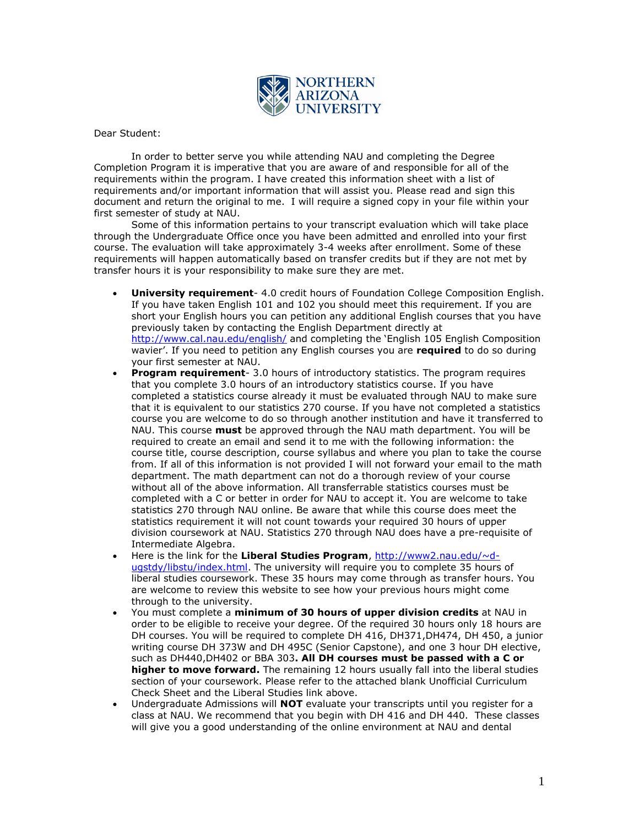

## Dear Student:

In order to better serve you while attending NAU and completing the Degree Completion Program it is imperative that you are aware of and responsible for all of the requirements within the program. I have created this information sheet with a list of requirements and/or important information that will assist you. Please read and sign this document and return the original to me. I will require a signed copy in your file within your first semester of study at NAU.

Some of this information pertains to your transcript evaluation which will take place through the Undergraduate Office once you have been admitted and enrolled into your first course. The evaluation will take approximately 3-4 weeks after enrollment. Some of these requirements will happen automatically based on transfer credits but if they are not met by transfer hours it is your responsibility to make sure they are met.

- **University requirement** 4.0 credit hours of Foundation College Composition English. If you have taken English 101 and 102 you should meet this requirement. If you are short your English hours you can petition any additional English courses that you have previously taken by contacting the English Department directly at <http://www.cal.nau.edu/english/> and completing the 'English 105 English Composition wavier'. If you need to petition any English courses you are **required** to do so during your first semester at NAU.
- **Program requirement** 3.0 hours of introductory statistics. The program requires that you complete 3.0 hours of an introductory statistics course. If you have completed a statistics course already it must be evaluated through NAU to make sure that it is equivalent to our statistics 270 course. If you have not completed a statistics course you are welcome to do so through another institution and have it transferred to NAU. This course **must** be approved through the NAU math department. You will be required to create an email and send it to me with the following information: the course title, course description, course syllabus and where you plan to take the course from. If all of this information is not provided I will not forward your email to the math department. The math department can not do a thorough review of your course without all of the above information. All transferrable statistics courses must be completed with a C or better in order for NAU to accept it. You are welcome to take statistics 270 through NAU online. Be aware that while this course does meet the statistics requirement it will not count towards your required 30 hours of upper division coursework at NAU. Statistics 270 through NAU does have a pre-requisite of Intermediate Algebra.
- Here is the link for the **Liberal Studies Program**, [http://www2.nau.edu/~d](http://www2.nau.edu/~d-ugstdy/libstu/index.html)[ugstdy/libstu/index.html.](http://www2.nau.edu/~d-ugstdy/libstu/index.html) The university will require you to complete 35 hours of liberal studies coursework. These 35 hours may come through as transfer hours. You are welcome to review this website to see how your previous hours might come through to the university.
- You must complete a **minimum of 30 hours of upper division credits** at NAU in order to be eligible to receive your degree. Of the required 30 hours only 18 hours are DH courses. You will be required to complete DH 416, DH371,DH474, DH 450, a junior writing course DH 373W and DH 495C (Senior Capstone), and one 3 hour DH elective, such as DH440,DH402 or BBA 303**. All DH courses must be passed with a C or higher to move forward.** The remaining 12 hours usually fall into the liberal studies section of your coursework. Please refer to the attached blank Unofficial Curriculum Check Sheet and the Liberal Studies link above.
- Undergraduate Admissions will **NOT** evaluate your transcripts until you register for a class at NAU. We recommend that you begin with DH 416 and DH 440. These classes will give you a good understanding of the online environment at NAU and dental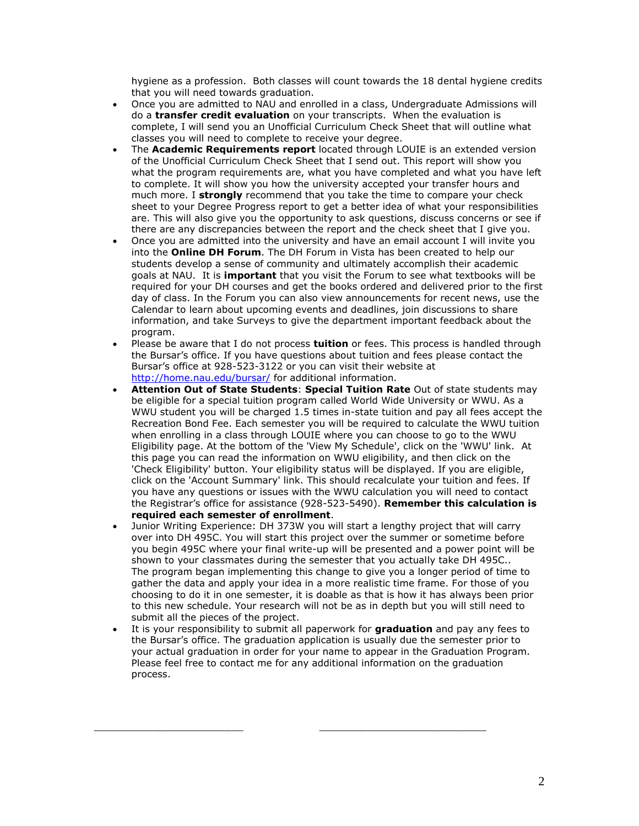hygiene as a profession. Both classes will count towards the 18 dental hygiene credits that you will need towards graduation.

- Once you are admitted to NAU and enrolled in a class, Undergraduate Admissions will do a **transfer credit evaluation** on your transcripts. When the evaluation is complete, I will send you an Unofficial Curriculum Check Sheet that will outline what classes you will need to complete to receive your degree.
- The **Academic Requirements report** located through LOUIE is an extended version of the Unofficial Curriculum Check Sheet that I send out. This report will show you what the program requirements are, what you have completed and what you have left to complete. It will show you how the university accepted your transfer hours and much more. I **strongly** recommend that you take the time to compare your check sheet to your Degree Progress report to get a better idea of what your responsibilities are. This will also give you the opportunity to ask questions, discuss concerns or see if there are any discrepancies between the report and the check sheet that I give you.
- Once you are admitted into the university and have an email account I will invite you into the **Online DH Forum**. The DH Forum in Vista has been created to help our students develop a sense of community and ultimately accomplish their academic goals at NAU. It is **important** that you visit the Forum to see what textbooks will be required for your DH courses and get the books ordered and delivered prior to the first day of class. In the Forum you can also view announcements for recent news, use the Calendar to learn about upcoming events and deadlines, join discussions to share information, and take Surveys to give the department important feedback about the program.
- Please be aware that I do not process **tuition** or fees. This process is handled through the Bursar's office. If you have questions about tuition and fees please contact the Bursar's office at 928-523-3122 or you can visit their website at <http://home.nau.edu/bursar/> for additional information.
- **Attention Out of State Students**: **Special Tuition Rate** Out of state students may be eligible for a special tuition program called World Wide University or WWU. As a WWU student you will be charged 1.5 times in-state tuition and pay all fees accept the Recreation Bond Fee. Each semester you will be required to calculate the WWU tuition when enrolling in a class through LOUIE where you can choose to go to the WWU Eligibility page. At the bottom of the 'View My Schedule', click on the 'WWU' link. At this page you can read the information on WWU eligibility, and then click on the 'Check Eligibility' button. Your eligibility status will be displayed. If you are eligible, click on the 'Account Summary' link. This should recalculate your tuition and fees. If you have any questions or issues with the WWU calculation you will need to contact the Registrar's office for assistance (928-523-5490). **Remember this calculation is required each semester of enrollment**.
- Junior Writing Experience: DH 373W you will start a lengthy project that will carry over into DH 495C. You will start this project over the summer or sometime before you begin 495C where your final write-up will be presented and a power point will be shown to your classmates during the semester that you actually take DH 495C.. The program began implementing this change to give you a longer period of time to gather the data and apply your idea in a more realistic time frame. For those of you choosing to do it in one semester, it is doable as that is how it has always been prior to this new schedule. Your research will not be as in depth but you will still need to submit all the pieces of the project.
- It is your responsibility to submit all paperwork for **graduation** and pay any fees to the Bursar's office. The graduation application is usually due the semester prior to your actual graduation in order for your name to appear in the Graduation Program. Please feel free to contact me for any additional information on the graduation process.

 $\frac{1}{2}$  ,  $\frac{1}{2}$  ,  $\frac{1}{2}$  ,  $\frac{1}{2}$  ,  $\frac{1}{2}$  ,  $\frac{1}{2}$  ,  $\frac{1}{2}$  ,  $\frac{1}{2}$  ,  $\frac{1}{2}$  ,  $\frac{1}{2}$  ,  $\frac{1}{2}$  ,  $\frac{1}{2}$  ,  $\frac{1}{2}$  ,  $\frac{1}{2}$  ,  $\frac{1}{2}$  ,  $\frac{1}{2}$  ,  $\frac{1}{2}$  ,  $\frac{1}{2}$  ,  $\frac{1$